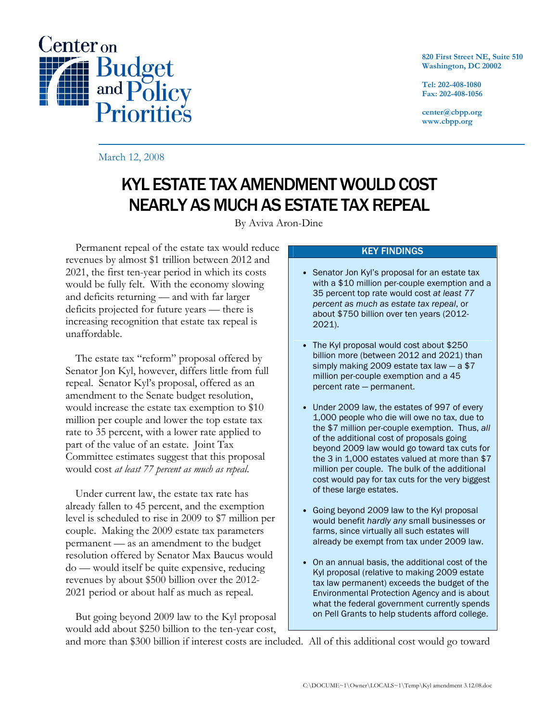

820 First Street NE, Suite 510 Washington, DC 20002

Tel: 202-408-1080 Fax: 202-408-1056

center@cbpp.org www.cbpp.org

March 12, 2008

# KYL ESTATE TAX AMENDMENT WOULD COST NEARLY AS MUCH AS ESTATE TAX REPEAL

By Aviva Aron-Dine

 Permanent repeal of the estate tax would reduce revenues by almost \$1 trillion between 2012 and 2021, the first ten-year period in which its costs would be fully felt. With the economy slowing and deficits returning — and with far larger deficits projected for future years — there is increasing recognition that estate tax repeal is unaffordable.

 The estate tax "reform" proposal offered by Senator Jon Kyl, however, differs little from full repeal. Senator Kyl's proposal, offered as an amendment to the Senate budget resolution, would increase the estate tax exemption to \$10 million per couple and lower the top estate tax rate to 35 percent, with a lower rate applied to part of the value of an estate. Joint Tax Committee estimates suggest that this proposal would cost at least 77 percent as much as repeal.

 Under current law, the estate tax rate has already fallen to 45 percent, and the exemption level is scheduled to rise in 2009 to \$7 million per couple. Making the 2009 estate tax parameters permanent — as an amendment to the budget resolution offered by Senator Max Baucus would do — would itself be quite expensive, reducing revenues by about \$500 billion over the 2012- 2021 period or about half as much as repeal.

 But going beyond 2009 law to the Kyl proposal would add about \$250 billion to the ten-year cost,

### KEY FINDINGS

- Senator Jon Kyl's proposal for an estate tax with a \$10 million per-couple exemption and a 35 percent top rate would cost at least 77 percent as much as estate tax repeal, or about \$750 billion over ten years (2012- 2021).
- The Kyl proposal would cost about \$250 billion more (between 2012 and 2021) than simply making 2009 estate tax law  $-$  a \$7 million per-couple exemption and a 45 percent rate — permanent.
- Under 2009 law, the estates of 997 of every 1,000 people who die will owe no tax, due to the \$7 million per-couple exemption. Thus, all of the additional cost of proposals going beyond 2009 law would go toward tax cuts for the 3 in 1,000 estates valued at more than \$7 million per couple. The bulk of the additional cost would pay for tax cuts for the very biggest of these large estates.
- Going beyond 2009 law to the Kyl proposal would benefit hardly any small businesses or farms, since virtually all such estates will already be exempt from tax under 2009 law.
- On an annual basis, the additional cost of the Kyl proposal (relative to making 2009 estate tax law permanent) exceeds the budget of the Environmental Protection Agency and is about what the federal government currently spends on Pell Grants to help students afford college.

and more than \$300 billion if interest costs are included. All of this additional cost would go toward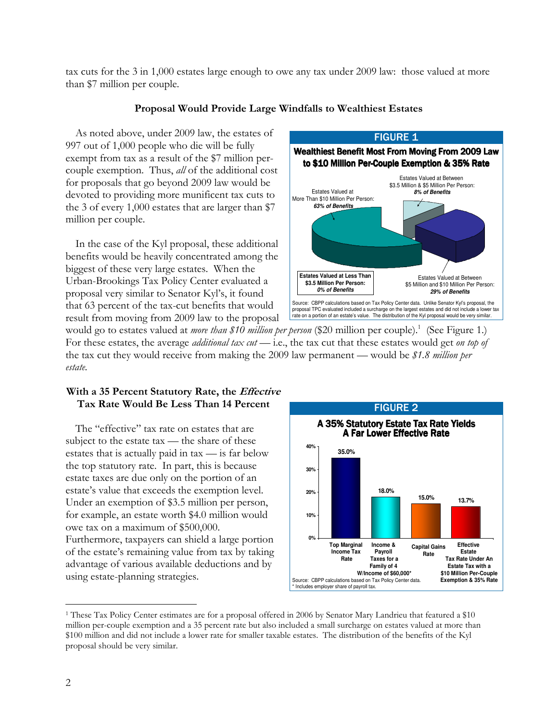tax cuts for the 3 in 1,000 estates large enough to owe any tax under 2009 law: those valued at more than \$7 million per couple.

## Proposal Would Provide Large Windfalls to Wealthiest Estates

 As noted above, under 2009 law, the estates of 997 out of 1,000 people who die will be fully exempt from tax as a result of the \$7 million percouple exemption. Thus, all of the additional cost for proposals that go beyond 2009 law would be devoted to providing more munificent tax cuts to the 3 of every 1,000 estates that are larger than \$7 million per couple.

 In the case of the Kyl proposal, these additional benefits would be heavily concentrated among the biggest of these very large estates. When the Urban-Brookings Tax Policy Center evaluated a proposal very similar to Senator Kyl's, it found that 63 percent of the tax-cut benefits that would result from moving from 2009 law to the proposal



would go to estates valued at *more than \$10 million per person* (\$20 million per couple).<sup>1</sup> (See Figure 1.) For these estates, the average *additional tax cut* - i.e., the tax cut that these estates would get on top of the tax cut they would receive from making the 2009 law permanent — would be \$1.8 million per estate.

## With a 35 Percent Statutory Rate, the *Effective* Tax Rate Would Be Less Than 14 Percent

 The "effective" tax rate on estates that are subject to the estate tax — the share of these estates that is actually paid in tax — is far below the top statutory rate. In part, this is because estate taxes are due only on the portion of an estate's value that exceeds the exemption level. Under an exemption of \$3.5 million per person, for example, an estate worth \$4.0 million would owe tax on a maximum of \$500,000. Furthermore, taxpayers can shield a large portion of the estate's remaining value from tax by taking advantage of various available deductions and by

using estate-planning strategies.



 $\overline{a}$ 1 These Tax Policy Center estimates are for a proposal offered in 2006 by Senator Mary Landrieu that featured a \$10 million per-couple exemption and a 35 percent rate but also included a small surcharge on estates valued at more than \$100 million and did not include a lower rate for smaller taxable estates. The distribution of the benefits of the Kyl proposal should be very similar.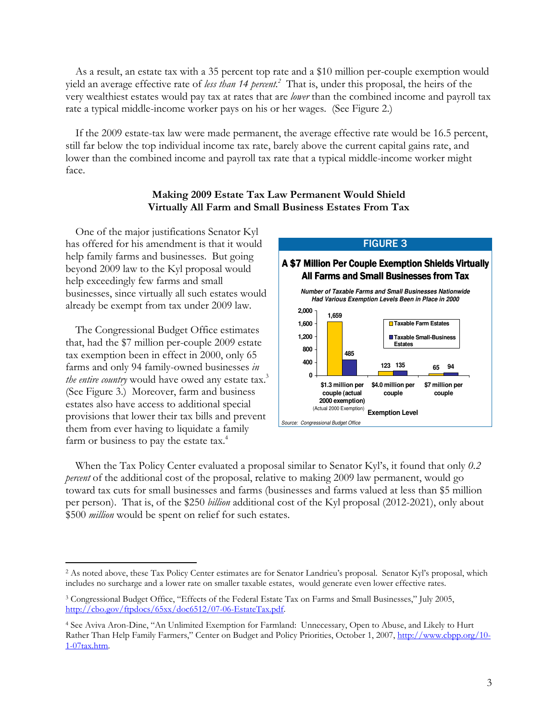As a result, an estate tax with a 35 percent top rate and a \$10 million per-couple exemption would yield an average effective rate of less than 14 percent.<sup>2</sup> That is, under this proposal, the heirs of the very wealthiest estates would pay tax at rates that are *lower* than the combined income and payroll tax rate a typical middle-income worker pays on his or her wages. (See Figure 2.)

 If the 2009 estate-tax law were made permanent, the average effective rate would be 16.5 percent, still far below the top individual income tax rate, barely above the current capital gains rate, and lower than the combined income and payroll tax rate that a typical middle-income worker might face.

## Making 2009 Estate Tax Law Permanent Would Shield Virtually All Farm and Small Business Estates From Tax

 One of the major justifications Senator Kyl has offered for his amendment is that it would help family farms and businesses. But going beyond 2009 law to the Kyl proposal would help exceedingly few farms and small businesses, since virtually all such estates would already be exempt from tax under 2009 law.

 The Congressional Budget Office estimates that, had the \$7 million per-couple 2009 estate tax exemption been in effect in 2000, only 65 farms and only 94 family-owned businesses in the entire country would have owed any estate tax. $3$ (See Figure 3.) Moreover, farm and business estates also have access to additional special provisions that lower their tax bills and prevent them from ever having to liquidate a family farm or business to pay the estate tax.<sup>4</sup>

 $\overline{a}$ 



 When the Tax Policy Center evaluated a proposal similar to Senator Kyl's, it found that only 0.2 percent of the additional cost of the proposal, relative to making 2009 law permanent, would go toward tax cuts for small businesses and farms (businesses and farms valued at less than \$5 million per person). That is, of the \$250 billion additional cost of the Kyl proposal (2012-2021), only about \$500 *million* would be spent on relief for such estates.

<sup>2</sup> As noted above, these Tax Policy Center estimates are for Senator Landrieu's proposal. Senator Kyl's proposal, which includes no surcharge and a lower rate on smaller taxable estates, would generate even lower effective rates.

<sup>3</sup> Congressional Budget Office, "Effects of the Federal Estate Tax on Farms and Small Businesses," July 2005, http://cbo.gov/ftpdocs/65xx/doc6512/07-06-EstateTax.pdf.

<sup>4</sup> See Aviva Aron-Dine, "An Unlimited Exemption for Farmland: Unnecessary, Open to Abuse, and Likely to Hurt Rather Than Help Family Farmers," Center on Budget and Policy Priorities, October 1, 2007, http://www.cbpp.org/10- 1-07tax.htm.